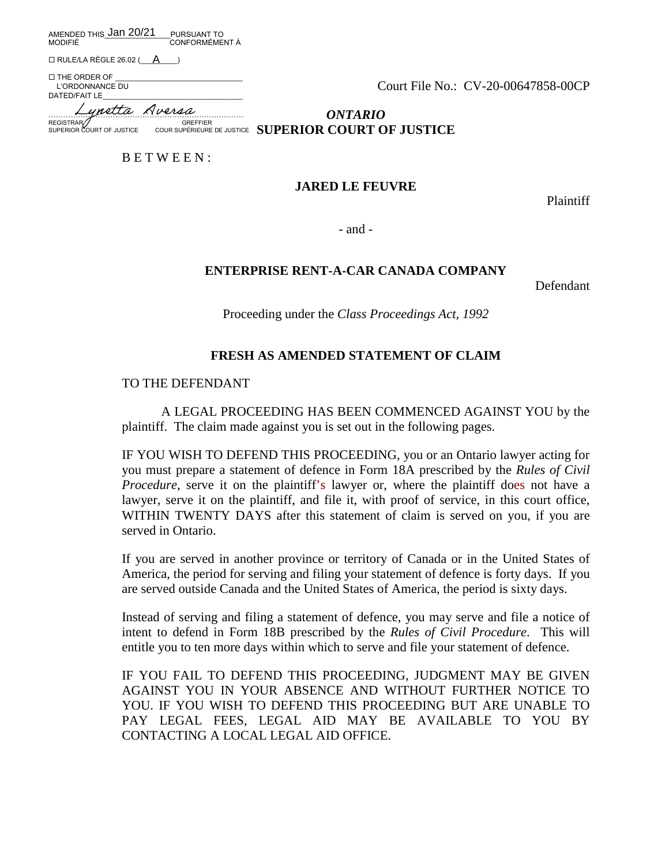AMENDED THIS\_\_\_\_\_\_\_\_\_\_\_\_\_\_\_\_PURSUANT TO Jan 20/21 A MODIFIÉ CONFORMÉMENT À

 $\Box$  RULE/LA RÈGLE 26.02 ( $\Box$ )

 $\square$  THE ORDER OF L'ORDONNANCE DU DATED/FAIT LE

Court File No.: CV-20-00647858-00CP

……………………………………………………………………. Lynetta AversaREGISTRAR GUERNALISMON COREFFIER<br>
REGISTRAR GOURT OF JUSTICE COUR SUPERIEURE

*ONTARIO* **SUPERIOR COURT OF JUSTICE** COUR SUPÉRIEURE DE JUSTICE **SUPERIOR COURT OF JUSTICE** 

B E T W E E N :

## **JARED LE FEUVRE**

Plaintiff

- and -

## **ENTERPRISE RENT-A-CAR CANADA COMPANY**

Defendant

Proceeding under the *Class Proceedings Act, 1992*

# **FRESH AS AMENDED STATEMENT OF CLAIM**

## TO THE DEFENDANT

A LEGAL PROCEEDING HAS BEEN COMMENCED AGAINST YOU by the plaintiff. The claim made against you is set out in the following pages.

IF YOU WISH TO DEFEND THIS PROCEEDING, you or an Ontario lawyer acting for you must prepare a statement of defence in Form 18A prescribed by the *Rules of Civil Procedure*, serve it on the plaintiff's lawyer or, where the plaintiff does not have a lawyer, serve it on the plaintiff, and file it, with proof of service, in this court office, WITHIN TWENTY DAYS after this statement of claim is served on you, if you are served in Ontario.

If you are served in another province or territory of Canada or in the United States of America, the period for serving and filing your statement of defence is forty days. If you are served outside Canada and the United States of America, the period is sixty days.

Instead of serving and filing a statement of defence, you may serve and file a notice of intent to defend in Form 18B prescribed by the *Rules of Civil Procedure*. This will entitle you to ten more days within which to serve and file your statement of defence.

IF YOU FAIL TO DEFEND THIS PROCEEDING, JUDGMENT MAY BE GIVEN AGAINST YOU IN YOUR ABSENCE AND WITHOUT FURTHER NOTICE TO YOU. IF YOU WISH TO DEFEND THIS PROCEEDING BUT ARE UNABLE TO PAY LEGAL FEES, LEGAL AID MAY BE AVAILABLE TO YOU BY CONTACTING A LOCAL LEGAL AID OFFICE.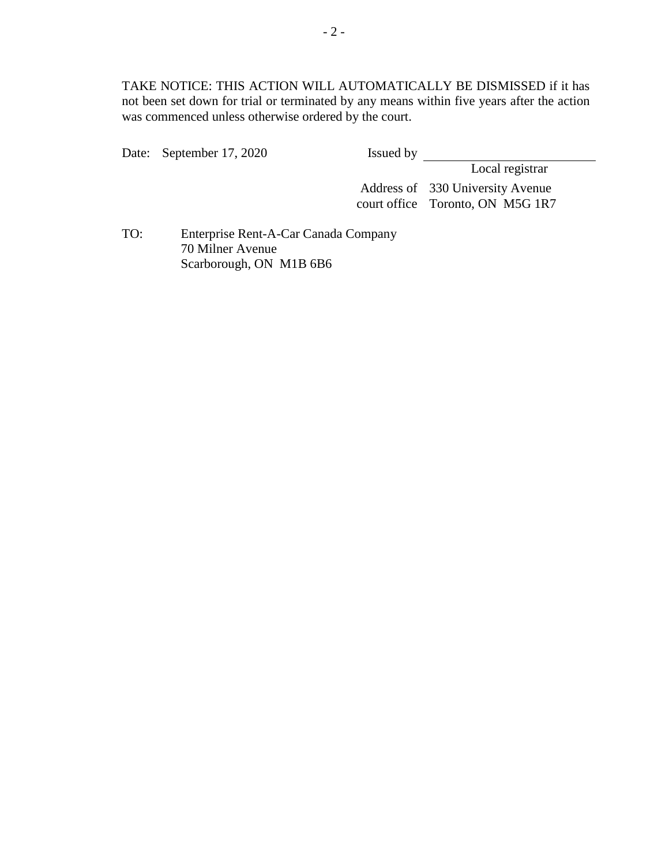TAKE NOTICE: THIS ACTION WILL AUTOMATICALLY BE DISMISSED if it has not been set down for trial or terminated by any means within five years after the action was commenced unless otherwise ordered by the court.

Date: September 17, 2020 Issued by

Local registrar

Address of 330 University Avenue court office Toronto, ON M5G 1R7

TO: Enterprise Rent-A-Car Canada Company 70 Milner Avenue Scarborough, ON M1B 6B6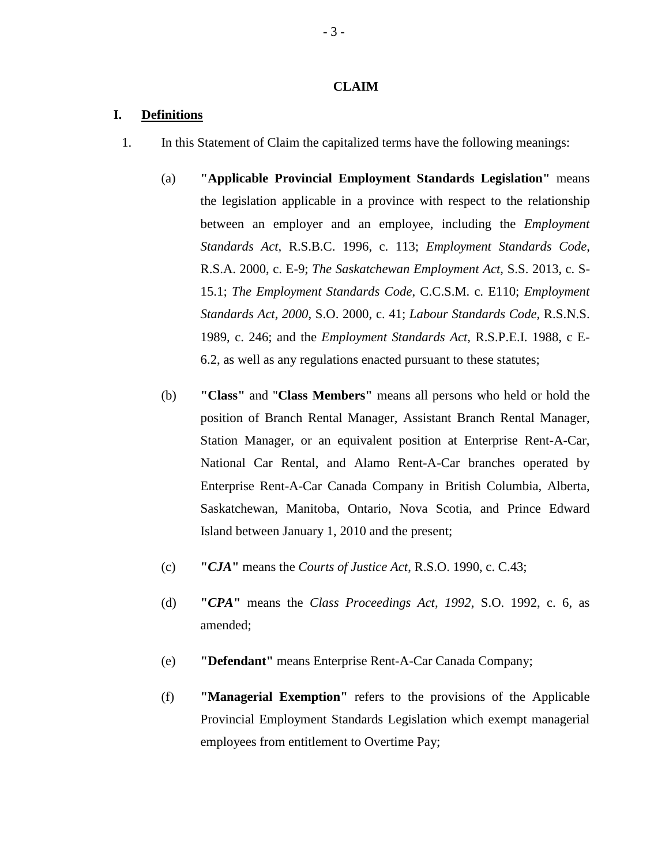### **CLAIM**

## **I. Definitions**

- 1. In this Statement of Claim the capitalized terms have the following meanings:
	- (a) **"Applicable Provincial Employment Standards Legislation"** means the legislation applicable in a province with respect to the relationship between an employer and an employee, including the *Employment Standards Act*, R.S.B.C. 1996, c. 113; *Employment Standards Code*, R.S.A. 2000, c. E-9; *The Saskatchewan Employment Act*, S.S. 2013, c. S-15.1; *The Employment Standards Code*, C.C.S.M. c. E110; *Employment Standards Act, 2000*, S.O. 2000, c. 41; *Labour Standards Code*, R.S.N.S. 1989, c. 246; and the *Employment Standards Act*, R.S.P.E.I. 1988, c E-6.2, as well as any regulations enacted pursuant to these statutes;
	- (b) **"Class"** and "**Class Members"** means all persons who held or hold the position of Branch Rental Manager, Assistant Branch Rental Manager, Station Manager, or an equivalent position at Enterprise Rent-A-Car, National Car Rental, and Alamo Rent-A-Car branches operated by Enterprise Rent-A-Car Canada Company in British Columbia, Alberta, Saskatchewan, Manitoba, Ontario, Nova Scotia, and Prince Edward Island between January 1, 2010 and the present;
	- (c) **"***CJA***"** means the *Courts of Justice Act*, R.S.O. 1990, c. C.43;
	- (d) **"***CPA***"** means the *Class Proceedings Act, 1992*, S.O. 1992, c. 6, as amended;
	- (e) **"Defendant"** means Enterprise Rent-A-Car Canada Company;
	- (f) **"Managerial Exemption"** refers to the provisions of the Applicable Provincial Employment Standards Legislation which exempt managerial employees from entitlement to Overtime Pay;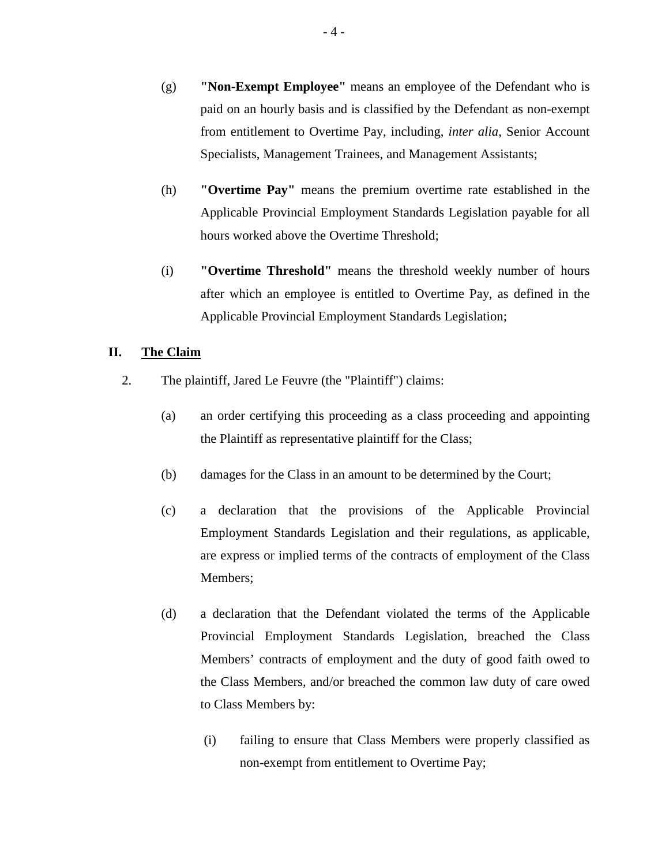- (g) **"Non-Exempt Employee"** means an employee of the Defendant who is paid on an hourly basis and is classified by the Defendant as non-exempt from entitlement to Overtime Pay, including, *inter alia*, Senior Account Specialists, Management Trainees, and Management Assistants;
- (h) **"Overtime Pay"** means the premium overtime rate established in the Applicable Provincial Employment Standards Legislation payable for all hours worked above the Overtime Threshold;
- (i) **"Overtime Threshold"** means the threshold weekly number of hours after which an employee is entitled to Overtime Pay, as defined in the Applicable Provincial Employment Standards Legislation;

# **II. The Claim**

- 2. The plaintiff, Jared Le Feuvre (the "Plaintiff") claims:
	- (a) an order certifying this proceeding as a class proceeding and appointing the Plaintiff as representative plaintiff for the Class;
	- (b) damages for the Class in an amount to be determined by the Court;
	- (c) a declaration that the provisions of the Applicable Provincial Employment Standards Legislation and their regulations, as applicable, are express or implied terms of the contracts of employment of the Class Members;
	- (d) a declaration that the Defendant violated the terms of the Applicable Provincial Employment Standards Legislation, breached the Class Members' contracts of employment and the duty of good faith owed to the Class Members, and/or breached the common law duty of care owed to Class Members by:
		- (i) failing to ensure that Class Members were properly classified as non-exempt from entitlement to Overtime Pay;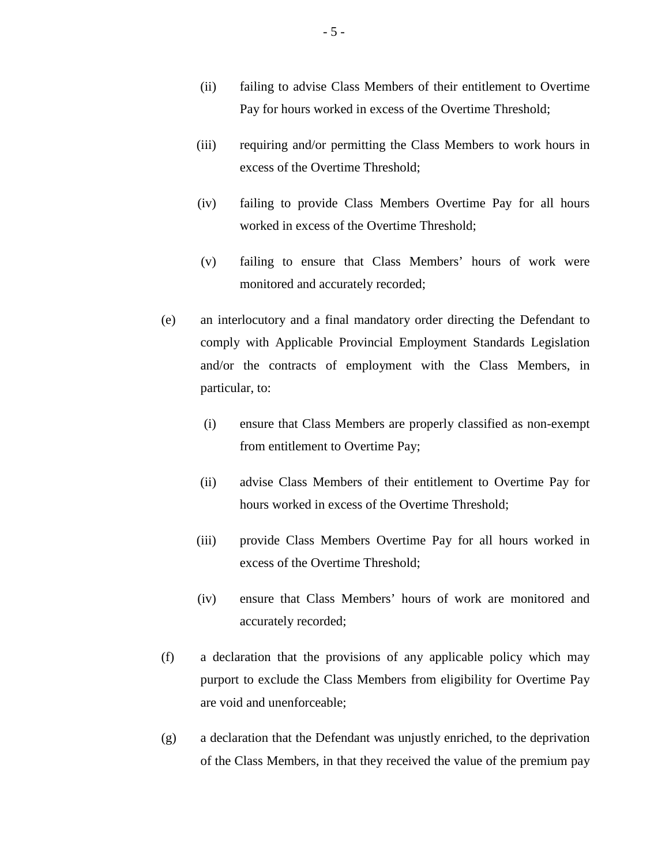- (ii) failing to advise Class Members of their entitlement to Overtime Pay for hours worked in excess of the Overtime Threshold;
- (iii) requiring and/or permitting the Class Members to work hours in excess of the Overtime Threshold;
- (iv) failing to provide Class Members Overtime Pay for all hours worked in excess of the Overtime Threshold;
- (v) failing to ensure that Class Members' hours of work were monitored and accurately recorded;
- (e) an interlocutory and a final mandatory order directing the Defendant to comply with Applicable Provincial Employment Standards Legislation and/or the contracts of employment with the Class Members, in particular, to:
	- (i) ensure that Class Members are properly classified as non-exempt from entitlement to Overtime Pay;
	- (ii) advise Class Members of their entitlement to Overtime Pay for hours worked in excess of the Overtime Threshold;
	- (iii) provide Class Members Overtime Pay for all hours worked in excess of the Overtime Threshold;
	- (iv) ensure that Class Members' hours of work are monitored and accurately recorded;
- (f) a declaration that the provisions of any applicable policy which may purport to exclude the Class Members from eligibility for Overtime Pay are void and unenforceable;
- (g) a declaration that the Defendant was unjustly enriched, to the deprivation of the Class Members, in that they received the value of the premium pay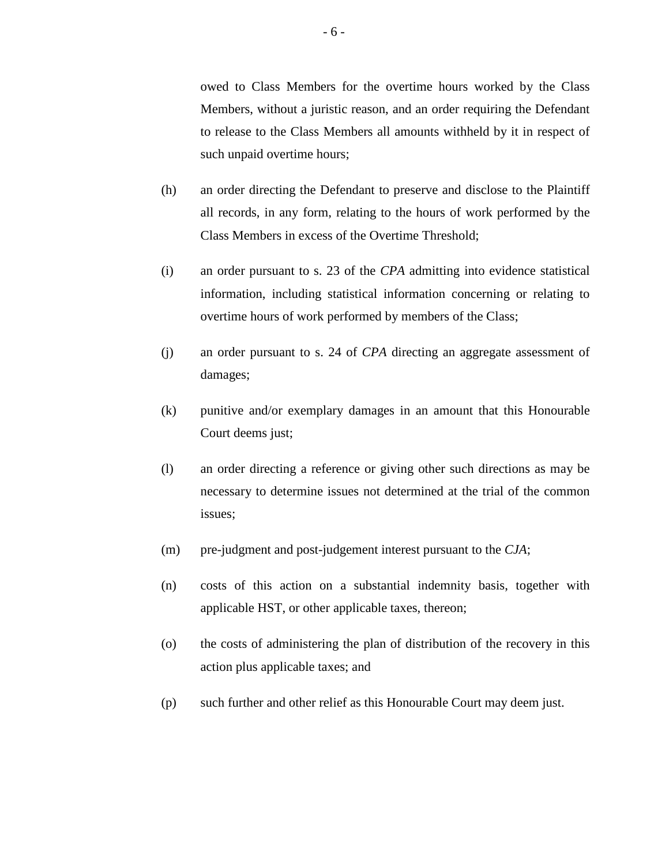owed to Class Members for the overtime hours worked by the Class Members, without a juristic reason, and an order requiring the Defendant to release to the Class Members all amounts withheld by it in respect of such unpaid overtime hours;

- (h) an order directing the Defendant to preserve and disclose to the Plaintiff all records, in any form, relating to the hours of work performed by the Class Members in excess of the Overtime Threshold;
- (i) an order pursuant to s. 23 of the *CPA* admitting into evidence statistical information, including statistical information concerning or relating to overtime hours of work performed by members of the Class;
- (j) an order pursuant to s. 24 of *CPA* directing an aggregate assessment of damages;
- (k) punitive and/or exemplary damages in an amount that this Honourable Court deems just;
- (l) an order directing a reference or giving other such directions as may be necessary to determine issues not determined at the trial of the common issues;
- (m) pre-judgment and post-judgement interest pursuant to the *CJA*;
- (n) costs of this action on a substantial indemnity basis, together with applicable HST, or other applicable taxes, thereon;
- (o) the costs of administering the plan of distribution of the recovery in this action plus applicable taxes; and
- (p) such further and other relief as this Honourable Court may deem just.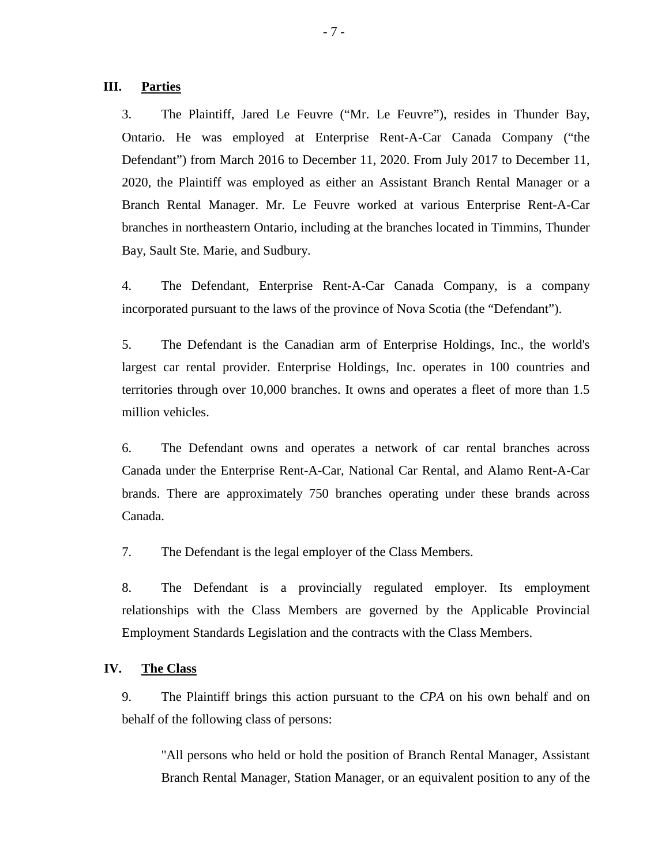### **III. Parties**

3. The Plaintiff, Jared Le Feuvre ("Mr. Le Feuvre"), resides in Thunder Bay, Ontario. He was employed at Enterprise Rent-A-Car Canada Company ("the Defendant") from March 2016 to December 11, 2020. From July 2017 to December 11, 2020, the Plaintiff was employed as either an Assistant Branch Rental Manager or a Branch Rental Manager. Mr. Le Feuvre worked at various Enterprise Rent-A-Car branches in northeastern Ontario, including at the branches located in Timmins, Thunder Bay, Sault Ste. Marie, and Sudbury.

4. The Defendant, Enterprise Rent-A-Car Canada Company, is a company incorporated pursuant to the laws of the province of Nova Scotia (the "Defendant").

5. The Defendant is the Canadian arm of Enterprise Holdings, Inc., the world's largest car rental provider. Enterprise Holdings, Inc. operates in 100 countries and territories through over 10,000 branches. It owns and operates a fleet of more than 1.5 million vehicles.

6. The Defendant owns and operates a network of car rental branches across Canada under the Enterprise Rent-A-Car, National Car Rental, and Alamo Rent-A-Car brands. There are approximately 750 branches operating under these brands across Canada.

7. The Defendant is the legal employer of the Class Members.

8. The Defendant is a provincially regulated employer. Its employment relationships with the Class Members are governed by the Applicable Provincial Employment Standards Legislation and the contracts with the Class Members.

#### **IV. The Class**

9. The Plaintiff brings this action pursuant to the *CPA* on his own behalf and on behalf of the following class of persons:

"All persons who held or hold the position of Branch Rental Manager, Assistant Branch Rental Manager, Station Manager, or an equivalent position to any of the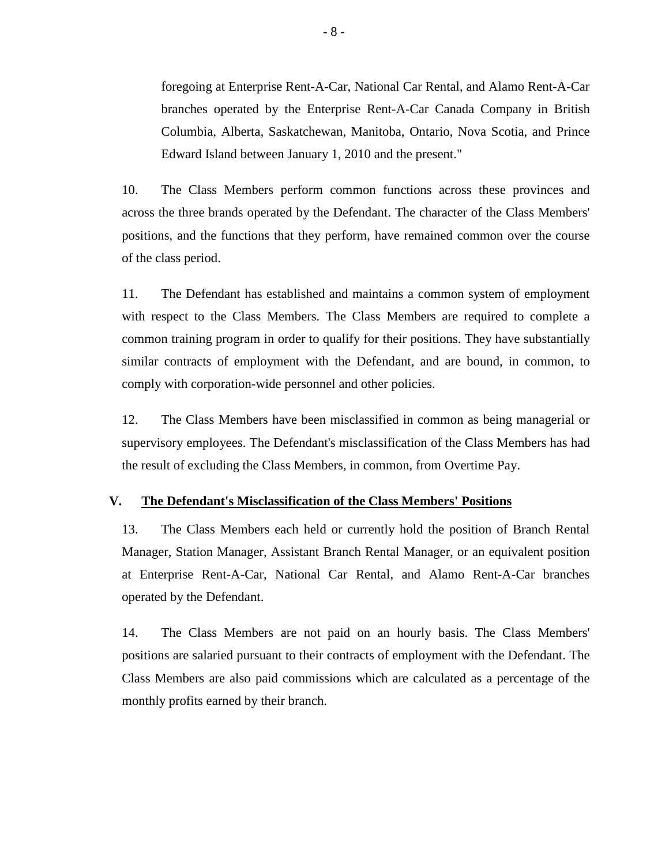foregoing at Enterprise Rent-A-Car, National Car Rental, and Alamo Rent-A-Car branches operated by the Enterprise Rent-A-Car Canada Company in British Columbia, Alberta, Saskatchewan, Manitoba, Ontario, Nova Scotia, and Prince Edward Island between January 1, 2010 and the present."

10. The Class Members perform common functions across these provinces and across the three brands operated by the Defendant. The character of the Class Members' positions, and the functions that they perform, have remained common over the course of the class period.

11. The Defendant has established and maintains a common system of employment with respect to the Class Members. The Class Members are required to complete a common training program in order to qualify for their positions. They have substantially similar contracts of employment with the Defendant, and are bound, in common, to comply with corporation-wide personnel and other policies.

12. The Class Members have been misclassified in common as being managerial or supervisory employees. The Defendant's misclassification of the Class Members has had the result of excluding the Class Members, in common, from Overtime Pay.

#### **V. The Defendant's Misclassification of the Class Members' Positions**

13. The Class Members each held or currently hold the position of Branch Rental Manager, Station Manager, Assistant Branch Rental Manager, or an equivalent position at Enterprise Rent-A-Car, National Car Rental, and Alamo Rent-A-Car branches operated by the Defendant.

14. The Class Members are not paid on an hourly basis. The Class Members' positions are salaried pursuant to their contracts of employment with the Defendant. The Class Members are also paid commissions which are calculated as a percentage of the monthly profits earned by their branch.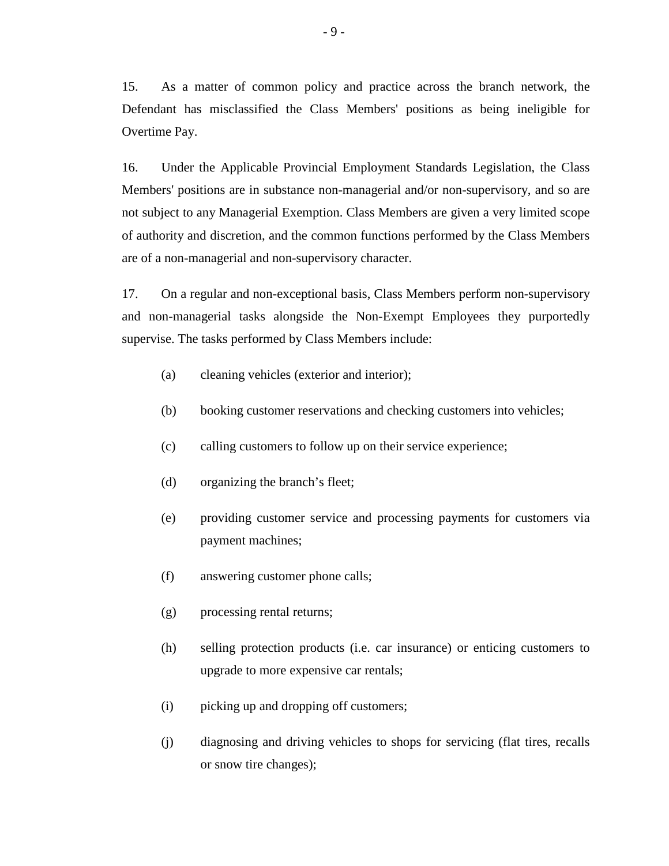15. As a matter of common policy and practice across the branch network, the Defendant has misclassified the Class Members' positions as being ineligible for Overtime Pay.

16. Under the Applicable Provincial Employment Standards Legislation, the Class Members' positions are in substance non-managerial and/or non-supervisory, and so are not subject to any Managerial Exemption. Class Members are given a very limited scope of authority and discretion, and the common functions performed by the Class Members are of a non-managerial and non-supervisory character.

17. On a regular and non-exceptional basis, Class Members perform non-supervisory and non-managerial tasks alongside the Non-Exempt Employees they purportedly supervise. The tasks performed by Class Members include:

- (a) cleaning vehicles (exterior and interior);
- (b) booking customer reservations and checking customers into vehicles;
- (c) calling customers to follow up on their service experience;
- (d) organizing the branch's fleet;
- (e) providing customer service and processing payments for customers via payment machines;
- (f) answering customer phone calls;
- (g) processing rental returns;
- (h) selling protection products (i.e. car insurance) or enticing customers to upgrade to more expensive car rentals;
- (i) picking up and dropping off customers;
- (j) diagnosing and driving vehicles to shops for servicing (flat tires, recalls or snow tire changes);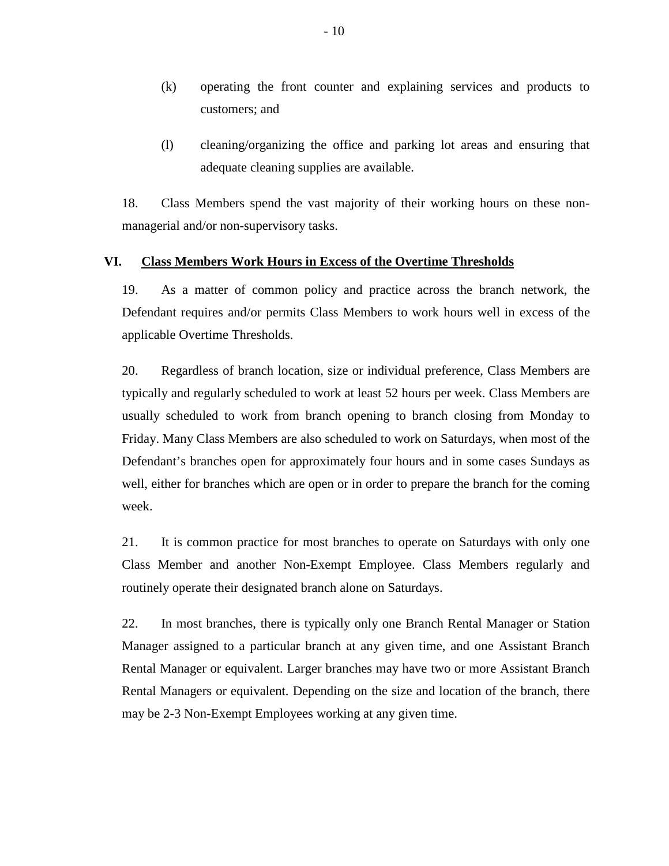- (k) operating the front counter and explaining services and products to customers; and
- (l) cleaning/organizing the office and parking lot areas and ensuring that adequate cleaning supplies are available.

18. Class Members spend the vast majority of their working hours on these nonmanagerial and/or non-supervisory tasks.

#### **VI. Class Members Work Hours in Excess of the Overtime Thresholds**

19. As a matter of common policy and practice across the branch network, the Defendant requires and/or permits Class Members to work hours well in excess of the applicable Overtime Thresholds.

20. Regardless of branch location, size or individual preference, Class Members are typically and regularly scheduled to work at least 52 hours per week. Class Members are usually scheduled to work from branch opening to branch closing from Monday to Friday. Many Class Members are also scheduled to work on Saturdays, when most of the Defendant's branches open for approximately four hours and in some cases Sundays as well, either for branches which are open or in order to prepare the branch for the coming week.

21. It is common practice for most branches to operate on Saturdays with only one Class Member and another Non-Exempt Employee. Class Members regularly and routinely operate their designated branch alone on Saturdays.

22. In most branches, there is typically only one Branch Rental Manager or Station Manager assigned to a particular branch at any given time, and one Assistant Branch Rental Manager or equivalent. Larger branches may have two or more Assistant Branch Rental Managers or equivalent. Depending on the size and location of the branch, there may be 2-3 Non-Exempt Employees working at any given time.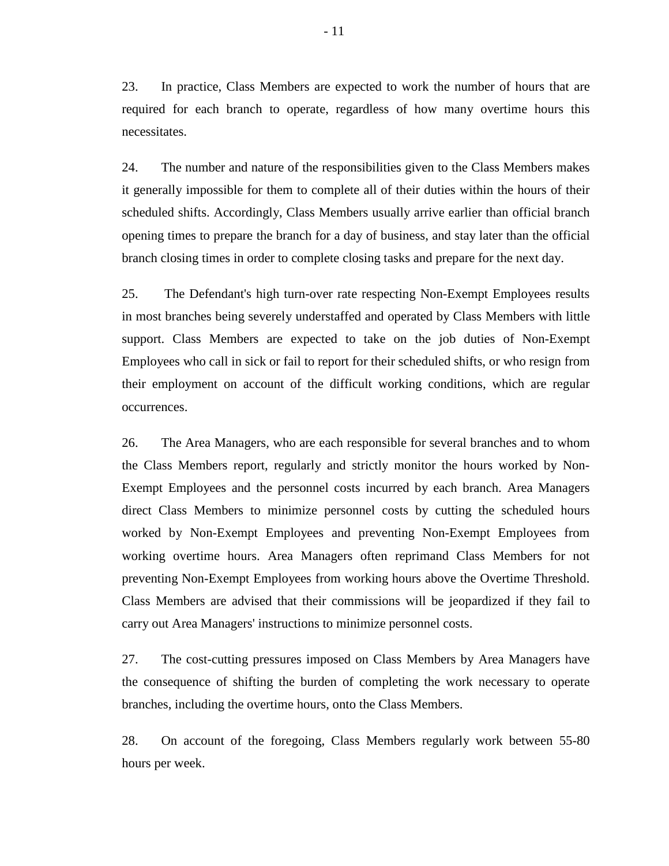23. In practice, Class Members are expected to work the number of hours that are required for each branch to operate, regardless of how many overtime hours this necessitates.

24. The number and nature of the responsibilities given to the Class Members makes it generally impossible for them to complete all of their duties within the hours of their scheduled shifts. Accordingly, Class Members usually arrive earlier than official branch opening times to prepare the branch for a day of business, and stay later than the official branch closing times in order to complete closing tasks and prepare for the next day.

25. The Defendant's high turn-over rate respecting Non-Exempt Employees results in most branches being severely understaffed and operated by Class Members with little support. Class Members are expected to take on the job duties of Non-Exempt Employees who call in sick or fail to report for their scheduled shifts, or who resign from their employment on account of the difficult working conditions, which are regular occurrences.

26. The Area Managers, who are each responsible for several branches and to whom the Class Members report, regularly and strictly monitor the hours worked by Non-Exempt Employees and the personnel costs incurred by each branch. Area Managers direct Class Members to minimize personnel costs by cutting the scheduled hours worked by Non-Exempt Employees and preventing Non-Exempt Employees from working overtime hours. Area Managers often reprimand Class Members for not preventing Non-Exempt Employees from working hours above the Overtime Threshold. Class Members are advised that their commissions will be jeopardized if they fail to carry out Area Managers' instructions to minimize personnel costs.

27. The cost-cutting pressures imposed on Class Members by Area Managers have the consequence of shifting the burden of completing the work necessary to operate branches, including the overtime hours, onto the Class Members.

28. On account of the foregoing, Class Members regularly work between 55-80 hours per week.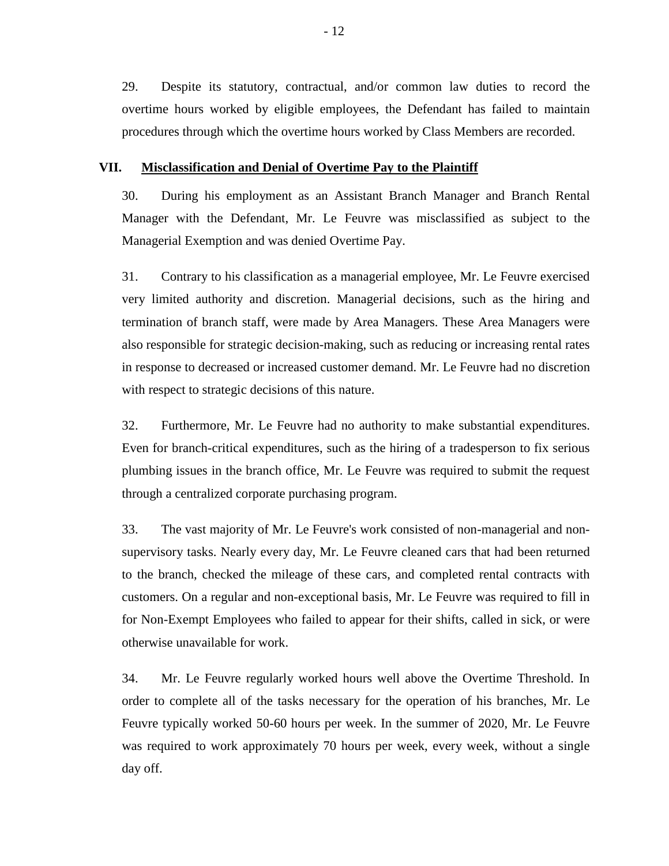29. Despite its statutory, contractual, and/or common law duties to record the overtime hours worked by eligible employees, the Defendant has failed to maintain procedures through which the overtime hours worked by Class Members are recorded.

#### **VII. Misclassification and Denial of Overtime Pay to the Plaintiff**

30. During his employment as an Assistant Branch Manager and Branch Rental Manager with the Defendant, Mr. Le Feuvre was misclassified as subject to the Managerial Exemption and was denied Overtime Pay.

31. Contrary to his classification as a managerial employee, Mr. Le Feuvre exercised very limited authority and discretion. Managerial decisions, such as the hiring and termination of branch staff, were made by Area Managers. These Area Managers were also responsible for strategic decision-making, such as reducing or increasing rental rates in response to decreased or increased customer demand. Mr. Le Feuvre had no discretion with respect to strategic decisions of this nature.

32. Furthermore, Mr. Le Feuvre had no authority to make substantial expenditures. Even for branch-critical expenditures, such as the hiring of a tradesperson to fix serious plumbing issues in the branch office, Mr. Le Feuvre was required to submit the request through a centralized corporate purchasing program.

33. The vast majority of Mr. Le Feuvre's work consisted of non-managerial and nonsupervisory tasks. Nearly every day, Mr. Le Feuvre cleaned cars that had been returned to the branch, checked the mileage of these cars, and completed rental contracts with customers. On a regular and non-exceptional basis, Mr. Le Feuvre was required to fill in for Non-Exempt Employees who failed to appear for their shifts, called in sick, or were otherwise unavailable for work.

34. Mr. Le Feuvre regularly worked hours well above the Overtime Threshold. In order to complete all of the tasks necessary for the operation of his branches, Mr. Le Feuvre typically worked 50-60 hours per week. In the summer of 2020, Mr. Le Feuvre was required to work approximately 70 hours per week, every week, without a single day off.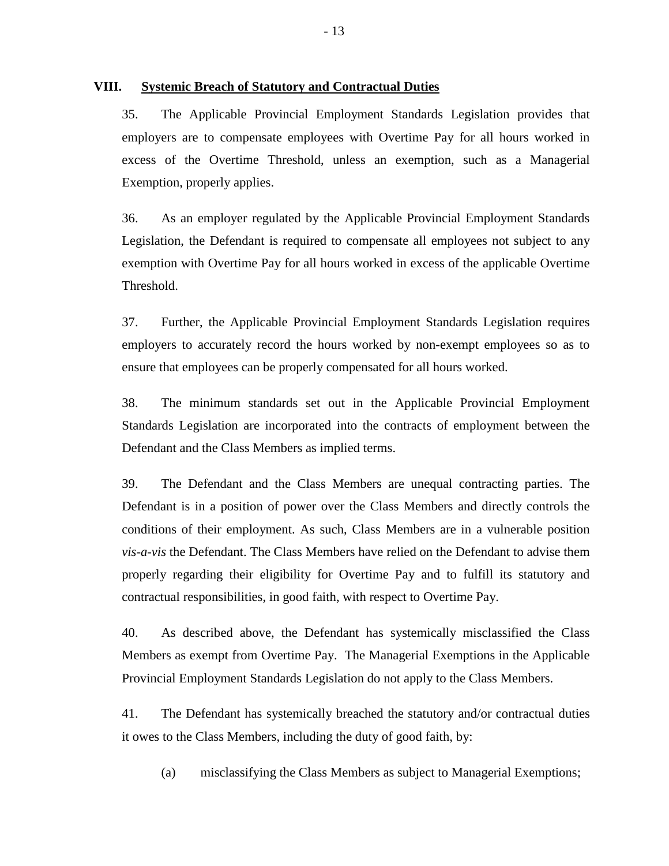## **VIII. Systemic Breach of Statutory and Contractual Duties**

35. The Applicable Provincial Employment Standards Legislation provides that employers are to compensate employees with Overtime Pay for all hours worked in excess of the Overtime Threshold, unless an exemption, such as a Managerial Exemption, properly applies.

36. As an employer regulated by the Applicable Provincial Employment Standards Legislation, the Defendant is required to compensate all employees not subject to any exemption with Overtime Pay for all hours worked in excess of the applicable Overtime Threshold.

37. Further, the Applicable Provincial Employment Standards Legislation requires employers to accurately record the hours worked by non-exempt employees so as to ensure that employees can be properly compensated for all hours worked.

38. The minimum standards set out in the Applicable Provincial Employment Standards Legislation are incorporated into the contracts of employment between the Defendant and the Class Members as implied terms.

39. The Defendant and the Class Members are unequal contracting parties. The Defendant is in a position of power over the Class Members and directly controls the conditions of their employment. As such, Class Members are in a vulnerable position *vis-a-vis* the Defendant. The Class Members have relied on the Defendant to advise them properly regarding their eligibility for Overtime Pay and to fulfill its statutory and contractual responsibilities, in good faith, with respect to Overtime Pay.

40. As described above, the Defendant has systemically misclassified the Class Members as exempt from Overtime Pay. The Managerial Exemptions in the Applicable Provincial Employment Standards Legislation do not apply to the Class Members.

41. The Defendant has systemically breached the statutory and/or contractual duties it owes to the Class Members, including the duty of good faith, by:

(a) misclassifying the Class Members as subject to Managerial Exemptions;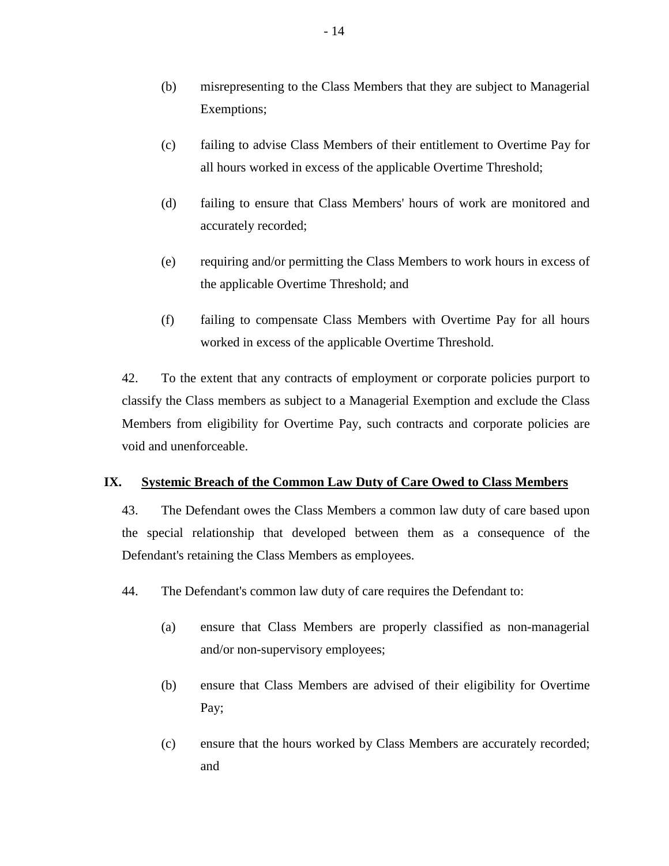- (b) misrepresenting to the Class Members that they are subject to Managerial Exemptions;
- (c) failing to advise Class Members of their entitlement to Overtime Pay for all hours worked in excess of the applicable Overtime Threshold;
- (d) failing to ensure that Class Members' hours of work are monitored and accurately recorded;
- (e) requiring and/or permitting the Class Members to work hours in excess of the applicable Overtime Threshold; and
- (f) failing to compensate Class Members with Overtime Pay for all hours worked in excess of the applicable Overtime Threshold.

42. To the extent that any contracts of employment or corporate policies purport to classify the Class members as subject to a Managerial Exemption and exclude the Class Members from eligibility for Overtime Pay, such contracts and corporate policies are void and unenforceable.

## **IX. Systemic Breach of the Common Law Duty of Care Owed to Class Members**

43. The Defendant owes the Class Members a common law duty of care based upon the special relationship that developed between them as a consequence of the Defendant's retaining the Class Members as employees.

- 44. The Defendant's common law duty of care requires the Defendant to:
	- (a) ensure that Class Members are properly classified as non-managerial and/or non-supervisory employees;
	- (b) ensure that Class Members are advised of their eligibility for Overtime Pay;
	- (c) ensure that the hours worked by Class Members are accurately recorded; and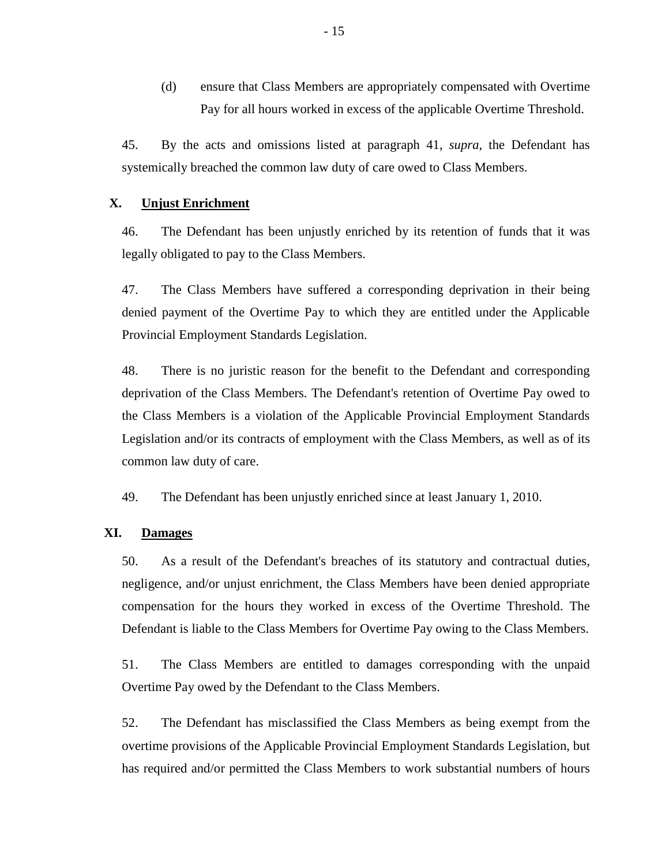(d) ensure that Class Members are appropriately compensated with Overtime Pay for all hours worked in excess of the applicable Overtime Threshold.

45. By the acts and omissions listed at paragraph 41, *supra*, the Defendant has systemically breached the common law duty of care owed to Class Members.

## **X. Unjust Enrichment**

46. The Defendant has been unjustly enriched by its retention of funds that it was legally obligated to pay to the Class Members.

47. The Class Members have suffered a corresponding deprivation in their being denied payment of the Overtime Pay to which they are entitled under the Applicable Provincial Employment Standards Legislation.

48. There is no juristic reason for the benefit to the Defendant and corresponding deprivation of the Class Members. The Defendant's retention of Overtime Pay owed to the Class Members is a violation of the Applicable Provincial Employment Standards Legislation and/or its contracts of employment with the Class Members, as well as of its common law duty of care.

49. The Defendant has been unjustly enriched since at least January 1, 2010.

## **XI. Damages**

50. As a result of the Defendant's breaches of its statutory and contractual duties, negligence, and/or unjust enrichment, the Class Members have been denied appropriate compensation for the hours they worked in excess of the Overtime Threshold. The Defendant is liable to the Class Members for Overtime Pay owing to the Class Members.

51. The Class Members are entitled to damages corresponding with the unpaid Overtime Pay owed by the Defendant to the Class Members.

52. The Defendant has misclassified the Class Members as being exempt from the overtime provisions of the Applicable Provincial Employment Standards Legislation, but has required and/or permitted the Class Members to work substantial numbers of hours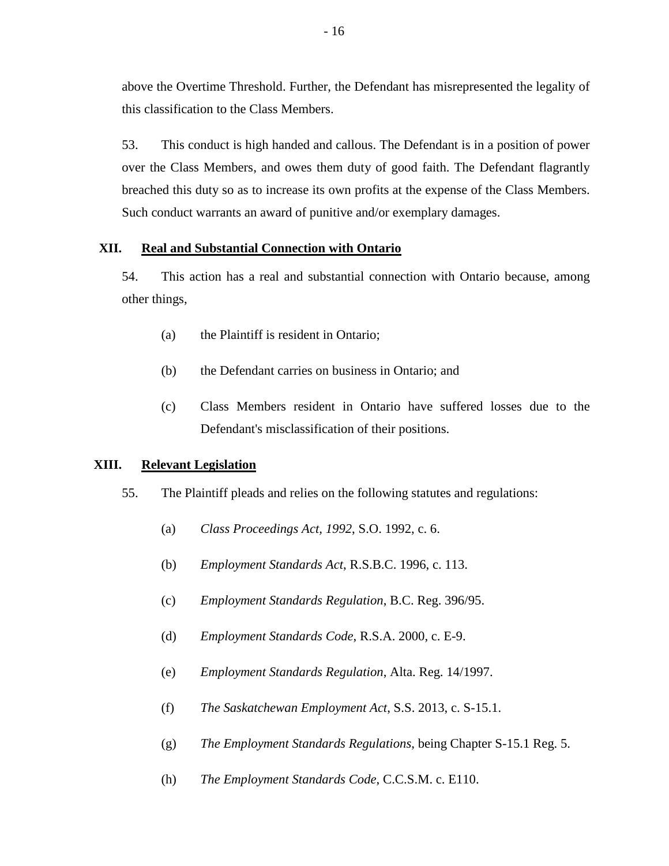above the Overtime Threshold. Further, the Defendant has misrepresented the legality of this classification to the Class Members.

53. This conduct is high handed and callous. The Defendant is in a position of power over the Class Members, and owes them duty of good faith. The Defendant flagrantly breached this duty so as to increase its own profits at the expense of the Class Members. Such conduct warrants an award of punitive and/or exemplary damages.

## **XII. Real and Substantial Connection with Ontario**

54. This action has a real and substantial connection with Ontario because, among other things,

- (a) the Plaintiff is resident in Ontario;
- (b) the Defendant carries on business in Ontario; and
- (c) Class Members resident in Ontario have suffered losses due to the Defendant's misclassification of their positions.

## **XIII. Relevant Legislation**

- 55. The Plaintiff pleads and relies on the following statutes and regulations:
	- (a) *Class Proceedings Act, 1992*, S.O. 1992, c. 6.
	- (b) *Employment Standards Act*, R.S.B.C. 1996, c. 113.
	- (c) *Employment Standards Regulation*, B.C. Reg. 396/95.
	- (d) *Employment Standards Code*, R.S.A. 2000, c. E-9.
	- (e) *Employment Standards Regulation*, Alta. Reg. 14/1997.
	- (f) *The Saskatchewan Employment Act*, S.S. 2013, c. S-15.1.
	- (g) *The Employment Standards Regulations*, being Chapter S-15.1 Reg. 5.
	- (h) *The Employment Standards Code*, C.C.S.M. c. E110.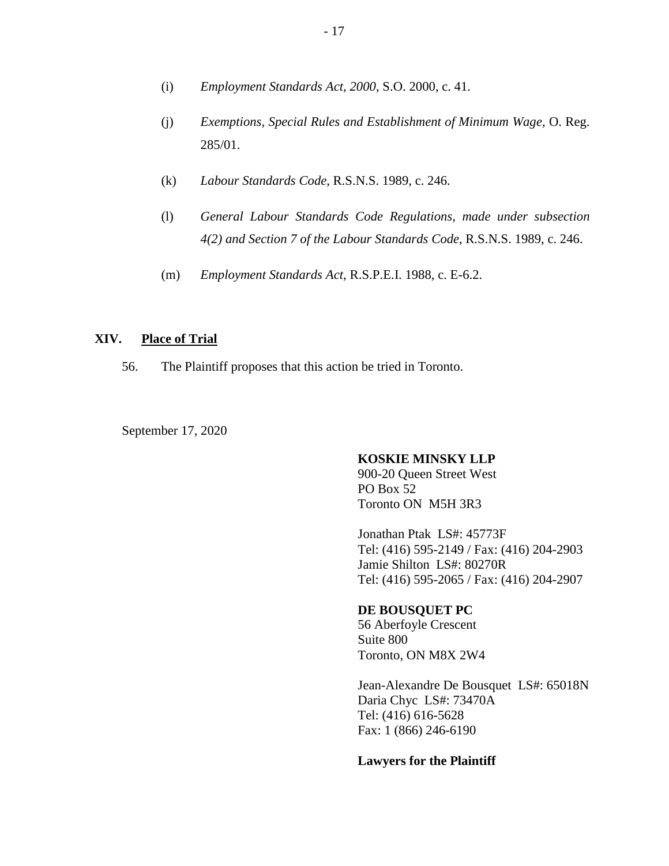- (i) *Employment Standards Act, 2000*, S.O. 2000, c. 41.
- (j) *Exemptions, Special Rules and Establishment of Minimum Wage*, O. Reg. 285/01.
- (k) *Labour Standards Code*, R.S.N.S. 1989, c. 246.
- (l) *General Labour Standards Code Regulations, made under subsection 4(2) and Section 7 of the Labour Standards Code*, R.S.N.S. 1989, c. 246.
- (m) *Employment Standards Act*, R.S.P.E.I. 1988, c. E-6.2.

### **XIV. Place of Trial**

56. The Plaintiff proposes that this action be tried in Toronto.

September 17, 2020

#### **KOSKIE MINSKY LLP**

900-20 Queen Street West PO Box 52 Toronto ON M5H 3R3

Jonathan Ptak LS#: 45773F Tel: (416) 595-2149 / Fax: (416) 204-2903 Jamie Shilton LS#: 80270R Tel: (416) 595-2065 / Fax: (416) 204-2907

#### **DE BOUSQUET PC**

56 Aberfoyle Crescent Suite 800 Toronto, ON M8X 2W4

Jean-Alexandre De Bousquet LS#: 65018N Daria Chyc LS#: 73470A Tel: (416) 616-5628 Fax: 1 (866) 246-6190

#### **Lawyers for the Plaintiff**